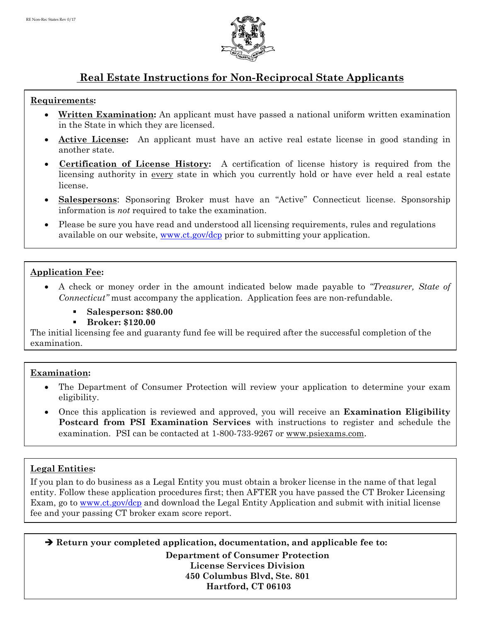

# **Real Estate Instructions for Non-Reciprocal State Applicants**

#### **Requirements:**

- **Written Examination:** An applicant must have passed a national uniform written examination in the State in which they are licensed.
- **Active License:** An applicant must have an active real estate license in good standing in another state.
- **Certification of License History:** A certification of license history is required from the licensing authority in every state in which you currently hold or have ever held a real estate license.
- **Salespersons**: Sponsoring Broker must have an "Active" Connecticut license. Sponsorship information is *not* required to take the examination.
- Please be sure you have read and understood all licensing requirements, rules and regulations available on our website, www.ct.gov/dcp prior to submitting your application.

## **Application Fee:**

- A check or money order in the amount indicated below made payable to *"Treasurer, State of Connecticut"* must accompany the application. Application fees are non-refundable.
	- **Salesperson: \$80.00**
	- **Broker: \$120.00**

The initial licensing fee and guaranty fund fee will be required after the successful completion of the examination.

## **Examination:**

- The Department of Consumer Protection will review your application to determine your exam eligibility.
- Once this application is reviewed and approved, you will receive an **Examination Eligibility Postcard from PSI Examination Services** with instructions to register and schedule the examination. PSI can be contacted at 1-800-733-9267 or www.psiexams.com.

## **Legal Entities:**

If you plan to do business as a Legal Entity you must obtain a broker license in the name of that legal entity. Follow these application procedures first; then AFTER you have passed the CT Broker Licensing Exam, go to www.ct.gov/dcp and download the Legal Entity Application and submit with initial license fee and your passing CT broker exam score report.

 **Return your completed application, documentation, and applicable fee to: Department of Consumer Protection License Services Division 450 Columbus Blvd, Ste. 801 Hartford, CT 06103**